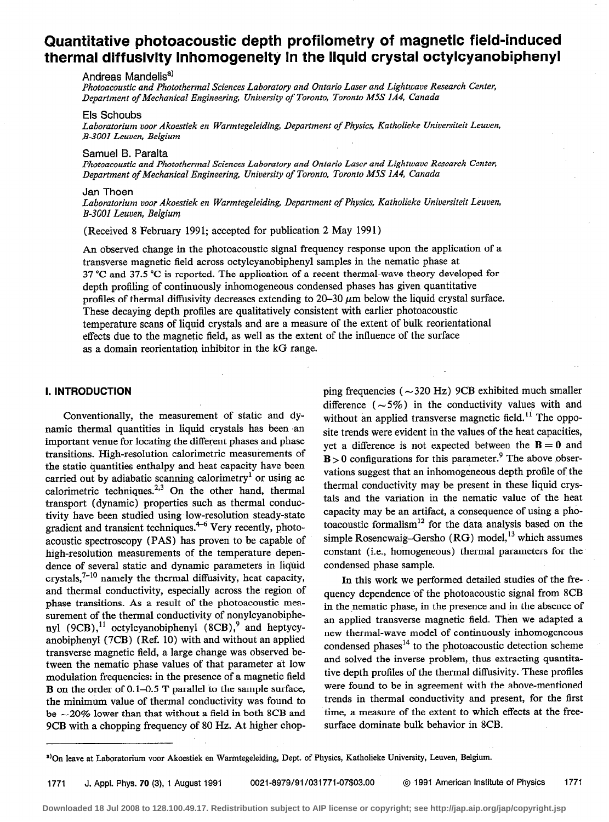# Quantitative photoacoustic depth profilometry of magnetic field-induced thermal diffusivity inhomogeneity in the liquid crystal octylcyanobiphenyl

#### Andreas Mandelis<sup>a)</sup>

Photoacoustic and Photothermal Sciences Laboratory and Ontario Laser and Lightwave Research Center, Department of Mechanical Engineering, University of Toronto, Toronto M5S 1A4, Canada

# Els Schoubs

Laboratorium voor Akoestiek en Warmtegeleiding, Department of Physics, Katholieke Universiteit Leuven, B-3001 Leuven, Belgium

#### Samuel B. Paralta

Photoacoustic and Photothermal Sciences Laboratory and Ontario Laser and Lightwave Research Center, Department of Mechanical Engineering, University of Toronto, Toronto M5S IA4, Canada

#### Jan Thoen

Laboratorium voor Akoestiek en Warmtegeleiding, Department of Physics, Katholieke Universiteit Leuven, B-3001 Leuven, Belgium

(Received 8 February 1991; accepted for publication 2 May 1991)

An observed change in the photoacoustic signal frequency response upon the application of a transverse magnetic field across octylcyanobiphenyl samples in the nematic phase at 37 "C and 37.5 "C is reported. The application of a recent thermal-wave theory developed for depth profiling of continuously inhomogeneous condensed phases has given quantitative profiles of thermal diffusivity decreases extending to  $20-30 \mu m$  below the liquid crystal surface. These decaying depth profiles are qualitatively consistent with earlier photoacoustic temperature scans of liquid crystals and are a measure of the extent of bulk reorientational effects due to the magnetic field, as well as the extent of the influence of the surface as a domain reorientatiop inhibitor in the kG range.

#### I. INTRODUCTION

Conventionally, the measurement of static and dynamic thermal quantities in liquid crystals has been .an important venue for locating the different phases and phase transitions. High-resolution calorimetric measurements of the static quantities enthalpy and heat capacity have been carried out by adiabatic scanning calorimetry<sup>1</sup> or using ac calorimetric techniques.<sup>2,3</sup> On the other hand, thermal transport (dynamic) properties such as thermal conductivity have been studied using low-resolution steady-state gradient and transient techniques. $4-6$  Very recently, photoacoustic spectroscopy (PAS) has proven to be capable of high-resolution measurements of the temperature dependence of several static and dynamic parameters in liquid crystals, $7-10$  namely the thermal diffusivity, heat capacity, and thermal conductivity, especially across the region of phase transitions. As a result of the photoacoustic measurement of the thermal conductivity of nonylcyanobiphenyl (9CB), $^{11}$  octylcyanobiphenyl (8CB), $^{9}$  and heptycyanobiphenyl (7CB) (Ref. 10) with and without an applied transverse magnetic field, a large change was observed between the nematic phase values of that parameter at low modulation frequencies: in the presence of a magnetic field B on the order of 0.1-0.5 T parallel to the sample surface, the minimum value of thermal conductivity was found to be  $\sim$  20% lower than that without a field in both 8CB and 9CB with a chopping frequency of 80 Hz. At higher chopping frequencies ( $\sim$ 320 Hz) 9CB exhibited much smaller difference  $(-5\%)$  in the conductivity values with and without an applied transverse magnetic field.<sup>11</sup> The opposite trends were evident in the values of the heat capacities, vet a difference is not expected between the  $B = 0$  and  $B > 0$  configurations for this parameter.<sup>9</sup> The above observations suggest that an inhomogeneous depth profile of the thermal conductivity may be present in these liquid crystals and the variation in the nematic value of the heat capacity may be an artifact, a consequence of using a photoacoustic formalism<sup>12</sup> for the data analysis based on the simple Rosencwaig-Gersho  $(RG)$  model,<sup>13</sup> which assumes constant (i.e., homogeneous) thermal parameters for the condensed phase sample.

In this work we performed detailed studies of the frequency dependence of the photoacoustic signal from 8CB in the nematic phase, in the presence and in the absence of an applied transverse magnetic field. Then we adapted a new thermal-wave model of continuously inhomogeneous condensed phases<sup>14</sup> to the photoacoustic detection scheme and solved the inverse problem, thus extracting quantitative depth profiles of the thermal diffusivity. These profiles were found to be in agreement with the above-mentioned trends in thermal conductivity and present, for the first time, a measure of the extent to which effects at the freesurface dominate bulk behavior in 8CB.

a) On leave at Laboratorium voor Akoestiek en Warmtegeleiding, Dept. of Physics, Katholieke University, Leuven, Belgium.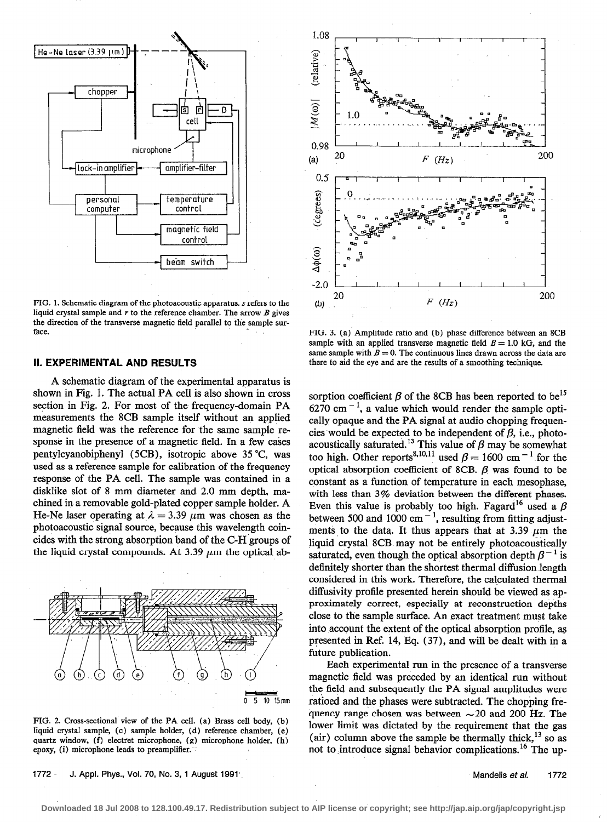

FIG. 1. Schematic diagram of the photoacoustic apparatus. s refers to the liquid crystal sample and  $r$  to the reference chamber. The arrow  $B$  gives the direction of the transverse magnetic field parallel to the sample surface.

### II. EXPERIMENTAL AND RESULTS

A schematic diagram of the experimental apparatus is shown in Fig. 1. The actual PA cell is also shown in cross section in Fig. 2. For most of the frequency-domain PA measurements the 8CB sample itself without an applied magnetic field was the reference for the same sample response in the presence of a magnetic field. In a few cases pentylcyanobiphenyl (5CB), isotropic above 35 "C, was used as a reference sample for calibration of the frequency response of the PA cell. The sample was contained in a disklike slot of 8 mm diameter and 2.0 mm depth, machined in a removable gold-plated copper sample holder. A He-Ne laser operating at  $\lambda = 3.39 \mu m$  was chosen as the photoacoustic signal source, because this wavelength coincides with the strong absorption band of the C-H groups of the liquid crystal compounds. At 3.39  $\mu$ m the optical ab-



FIG. 2. Cross-sectional view of the PA cell. (a) Brass cell body, (b) liquid crystal sample, (c) sample holder, (d) reference chamber, (e) quartz window, (f) electret microphone, (g) microphone holder, (h) epoxy, (i) microphone leads to preamplifier.

1772 J. Appl. Phys., Vol. 70, No. 3, 1 August 1991 Manual Manual Manual Manual Manual Manual Manual Manual 1772



FIG. 3. (a) Amplitude ratio and (b) phase difference between an 8CB sample with an applied transverse magnetic field  $B = 1.0$  kG, and the same sample with  $B = 0$ . The continuous lines drawn across the data are there to aid the eye and are the results of a smoothing technique.

sorption coefficient  $\beta$  of the 8CB has been reported to be<sup>15</sup> 6270 cm $^{-1}$ , a value which would render the sample optically opaque and the PA signal at audio chopping frequencies would be expected to be independent of  $\beta$ , i.e., photoacoustically saturated.<sup>13</sup> This value of  $\beta$  may be somewhat too high. Other reports<sup>8,10,11</sup> used  $\beta = 1600 \text{ cm}^{-1}$  for the optical absorption coefficient of 8CB.  $\beta$  was found to be constant as a function of temperature in each mesophase, with less than 3% deviation between the different phases. Even this value is probably too high. Fagard<sup>16</sup> used a  $\beta$ between 500 and 1000 cm $^{-1}$ , resulting from fitting adjustments to the data. It thus appears that at 3.39  $\mu$ m the liquid crystal 8CB may not be entirely photoacoustically saturated, even though the optical absorption depth  $\beta^{-1}$  is definitely shorter than the shortest thermal diffusion length considered in this work. Therefore, the calculated thermal diffusivity profile presented herein should be viewed as approximately correct, especially at reconstruction depths close to the sample surface. An exact treatment must take into account the extent of the optical absorption profile, as presented in Ref. 14, Eq. (37), and will be dealt with in a future publication.

Each experimental run in the presence of a transverse magnetic field was preceded by an identical run without the field and subsequently the PA signal amplitudes were ratioed and the phases were subtracted. The chopping frequency range chosen was between  $\sim$  20 and 200 Hz. The lower limit was dictated by the requirement that the gas (air) column above the sample be thermally thick,  $^{13}$  so as not to introduce signal behavior complications.<sup>16</sup> The up-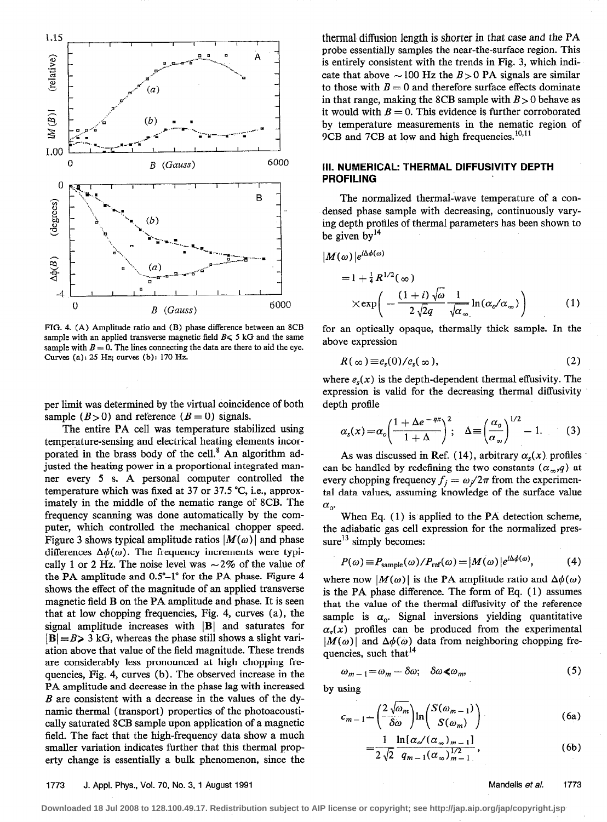

FIG. 4. (A) Amplitude ratio and (B) phase difference between an 8CB sample with an applied transverse magnetic field  $B \le 5$  kG and the same sample with  $B = 0$ . The lines connecting the data are there to aid the eye. Curves (a): 25 Hz; curves (b): 170 Hz.

per limit was determined by the virtual coincidence of both sample  $(B > 0)$  and reference  $(B = 0)$  signals.

The entire PA cell was temperature stabilized using temperature-sensing and electrical heating elements incorporated in the brass body of the cell.<sup>8</sup> An algorithm adjusted the heating power in a proportional integrated manner every 5 s. A personal computer controlled the temperature which was fixed at 37 or 37.5 "C, i.e., approximately in the middle of the nematic range of 8CB. The frequency scanning was done automatically by the computer, which controlled the mechanical chopper speed. Figure 3 shows typical amplitude ratios  $|M(\omega)|$  and phase differences  $\Delta\phi(\omega)$ . The frequency increments were typically 1 or 2 Hz. The noise level was  $\sim$  2% of the value of the PA amplitude and 0.5°-1° for the PA phase. Figure 4 shows the effect of the magnitude of an applied transverse magnetic field B on the PA amplitude and phase. It is seen that at low chopping frequencies, Fig. 4, curves (a), the signal amplitude increases with  $|B|$  and saturates for  $|B| = B$  3 kG, whereas the phase still shows a slight variation above that value of the field magnitude. These trends are considerably less pronounced at high chopping frequencies, Fig. 4, curves (b). The observed increase in the PA amplitude and decrease in the phase lag with increased B are consistent with a decrease in the values of the dynamic thermal (transport) properties of the photoacoustically saturated 8CB sample upon application of a magnetic field. The fact that the high-frequency data show a much smaller variation indicates further that this thermal property change is essentially a bulk phenomenon, since the

thermal diffusion length is shorter in that case and the PA probe essentially samples the near-the-surface region. This is entirely consistent with the trends in Fig. 3, which indicate that above  $\sim$  100 Hz the B > 0 PA signals are similar to those with  $B = 0$  and therefore surface effects dominate in that range, making the 8CB sample with  $B > 0$  behave as it would with  $B = 0$ . This evidence is further corroborated by temperature measurements in the nematic region of 9CB and 7CB at low and high frequencies. $^{10,11}$ 

## III. NUMERICAL: THERMAL DIFFUSIVITY DEPTH PROFILING

The normalized thermal-wave temperature of a condensed phase sample with decreasing, continuously varying depth profiles of thermal parameters has been shown to be given by  $14$ 

$$
|M(\omega)|e^{i\Delta\phi(\omega)}
$$
  
=  $1 + \frac{1}{4}R^{1/2}(\infty)$   

$$
\times \exp\left(-\frac{(1+i)\sqrt{\omega}}{2\sqrt{2}q}\frac{1}{\sqrt{\alpha_{\infty}}}\ln(\alpha_{\sigma}/\alpha_{\infty})\right)
$$
 (1)

for an optically opaque, thermally thick sample. In the above expression

$$
R(\infty) \equiv e_s(0)/e_s(\infty), \qquad (2)
$$

where  $e_s(x)$  is the depth-dependent thermal effusivity. The expression is valid for the decreasing thermal diffusivity depth profile

$$
\alpha_s(x) = \alpha_o \left( \frac{1 + \Delta e^{-qx}}{1 + \Delta} \right)^2; \quad \Delta \equiv \left( \frac{\alpha_o}{\alpha_\infty} \right)^{1/2} - 1. \tag{3}
$$

As was discussed in Ref. (14), arbitrary  $\alpha_s(x)$  profiles can be handled by redefining the two constants  $(\alpha_{\infty},q)$  at every chopping frequency  $f_j = \omega_j/2\pi$  from the experimental data values, assuming knowledge of the surface value  $\alpha_{o}$ 

When Eq. (1) is applied to the PA detection scheme, the adiabatic gas cell expression for the normalized pressure $^{13}$  simply becomes:

$$
P(\omega) \equiv P_{\text{sample}}(\omega) / P_{\text{ref}}(\omega) = |M(\omega)| e^{i\Delta\phi(\omega)}, \tag{4}
$$

where now  $|M(\omega)|$  is the PA amplitude ratio and  $\Delta\phi(\omega)$ is the PA phase difference. The form of Eq. ( 1) assumes that the value of the thermal diffusivity of the reference sample is  $\alpha_0$ . Signal inversions yielding quantitative  $\alpha_{\rm s}(x)$  profiles can be produced from the experimental  $|M(\omega)|$  and  $\Delta\phi(\omega)$  data from neighboring chopping frequencies, such that<sup>14</sup>

$$
\omega_{m-1} = \omega_m - \delta \omega; \quad \delta \omega \ll \omega_m, \tag{5}
$$

by using

$$
c_{m-1} = \left(\frac{2\sqrt{\omega_m}}{\delta \omega}\right) \ln \left(\frac{S(\omega_{m-1})}{S(\omega_m)}\right)
$$
 (6a)

$$
=\frac{1}{2\sqrt{2}}\frac{\ln[\alpha_{o}/(\alpha_{\infty})_{m-1}]}{q_{m-1}(\alpha_{\infty})_{m-1}^{1/2}},
$$
\n(6b)

#### 1773 J. Appl. Phys., Vol. 70, No. 3, 1 August 1991 Mandelis et al. 1773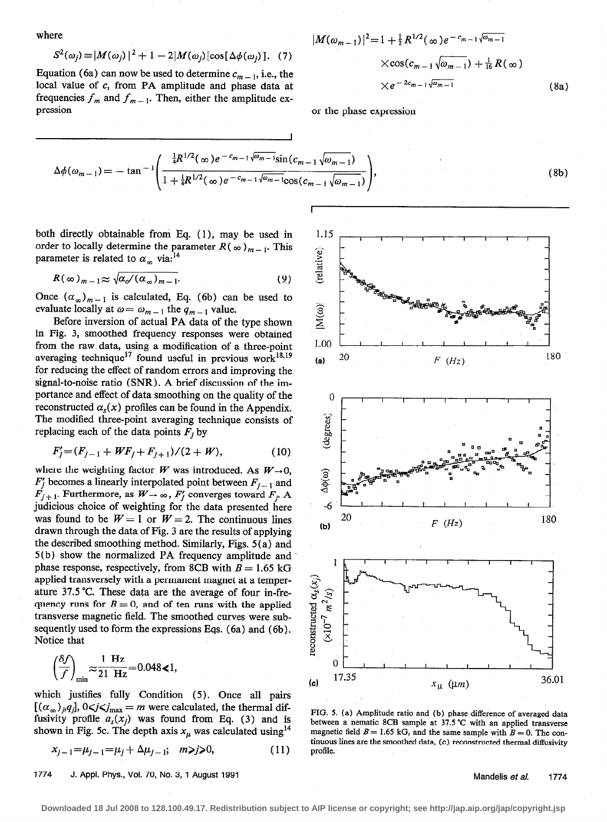$$
\quad\text{where}\quad
$$

$$
S^{2}(\omega_{j}) = |M(\omega_{j})|^{2} + 1 - 2|M(\omega_{j})|\cos[\Delta\phi(\omega_{j})]. \quad (7)
$$

Equation (6a) can now be used to determine  $c_{m-1}$ , i.e., the local value of  $c$ , from PA amplitude and phase data at frequencies  $f_m$  and  $f_{m-1}$ . Then, either the amplitude expression or the phase expression

where  
\n
$$
|M(\omega_{m-1})|^2 = 1 + \frac{1}{2} R^{1/2}(\infty) e^{-c_{m-1} \sqrt{\omega_{m-1}}}
$$
\n
$$
S^2(\omega_j) = |M(\omega_j)|^2 + 1 - 2|M(\omega_j)|\cos[\Delta\phi(\omega_j)].
$$
\n(7)\n
$$
\times \cos(c_{m-1} \sqrt{\omega_{m-1}}) + \frac{1}{16} R(\infty)
$$
\nEquation (6a) can now be used to determine  $c_{m-1}$ , i.e., the  
\nlocal value of c, from PA amplitude and phase data at  
\n
$$
\times e^{-2c_{m-1} \sqrt{\omega_{m-1}}} \tag{8a}
$$

$$
\Delta \phi(\omega_{m-1}) = -\tan^{-1} \left( \frac{\frac{1}{4}R^{1/2}(\infty)e^{-c_{m-1}\sqrt{\omega_{m-1}}}\sin(c_{m-1}\sqrt{\omega_{m-1}})}{1 + \frac{1}{4}R^{1/2}(\infty)e^{-c_{m-1}\sqrt{\omega_{m-1}}}\cos(c_{m-1}\sqrt{\omega_{m-1}})} \right),
$$
\n(8b)

both directly obtainable from Eq. (1), may be used in order to locally determine the parameter  $R(\infty)_{m-1}$ . This parameter is related to  $\alpha_{\infty}$  via:<sup>14</sup>

$$
R(\infty)_{m-1} \approx \sqrt{\alpha_o/(\alpha_\infty)_{m-1}}.
$$
 (9)

Once  $(\alpha_{\infty})_{m-1}$  is calculated, Eq. (6b) can be used to evaluate locally at  $\omega = \omega_{m-1}$  the  $q_{m-1}$  value.

Before inversion of actual PA data of the type shown in Fig. 3, smoothed frequency responses were obtained from the raw data, using a modification of a three-point averaging technique<sup>17</sup> found useful in previous work<sup>18,19</sup> for reducing the effect of random errors and improving the signal-to-noise ratio (SNR) . A brief discussion of the importance and effect of data smoothing on the quality of the reconstructed  $\alpha_s(x)$  profiles can be found in the Appendix. The modified three-point averaging technique consists of replacing each of the data points  $F_i$  by

$$
F'_{j} = (F_{j-1} + WF_j + F_{j+1})/(2 + W), \tag{10}
$$

where the weighting factor W was introduced. As  $W \rightarrow 0$ ,  $F_j$  becomes a linearly interpolated point between  $F_{j-1}$  and  $\overrightarrow{F}_{j+1}$ . Furthermore, as  $\overrightarrow{W}_{\rightarrow \infty}$ ,  $\overrightarrow{F}_j$  converges toward  $\overrightarrow{F}_j$ . A judicious choice of weighting for the data presented here was found to be  $W = 1$  or  $W = 2$ . The continuous lines drawn through the data of Fig. 3 are the results of applying the described smoothing method. Similarly, Figs. 5 (a) and 5(b) show the normalized PA frequency amplitude and phase response, respectively, from 8CB with  $B = 1.65$  kG applied transversely with a permanent magnet at a temperature 37.5 "C. These data are the average of four in-frequency runs for  $B = 0$ , and of ten runs with the applied transverse magnetic field. The smoothed curves were subsequently used to form the expressions Eqs. (6a) and (6b). Notice that

$$
\left(\frac{\delta f}{f}\right)_{\min} \approx \frac{1 \text{ Hz}}{21 \text{ Hz}} = 0.048 \text{ < 1},
$$

which justifies fully Condition (5). Once all pairs  $[(\alpha_{\infty})_{\hat{p}}q_i]$ ,  $0 \leq j \leq j_{\text{max}} = m$  were calculated, the thermal diffusivity profile  $a_s(x_i)$  was found from Eq. (3) and is shown in Fig. 5c. The depth axis  $x_{\mu}$  was calculated using<sup>14</sup>

$$
x_{j-1} = \mu_{j-1} = \mu_j + \Delta \mu_{j-1}; \quad m \ge j \ge 0,
$$
\n<sup>(11)</sup>

1774 J. Appl. Phys., Vol. 70, No. 3, 1 August 1991



FIG. 5. (a) Amplitude ratio and (b) phase difference of averaged data between a-nematic 8CB sample at 37.5"C with an applied transverse magnetic field  $B = 1.65$  kG, and the same sample with  $B = 0$ . The continuous lines are the smoothed data, (c) reconstructed thermal diffusivity profile.

Mandelis et al. 1774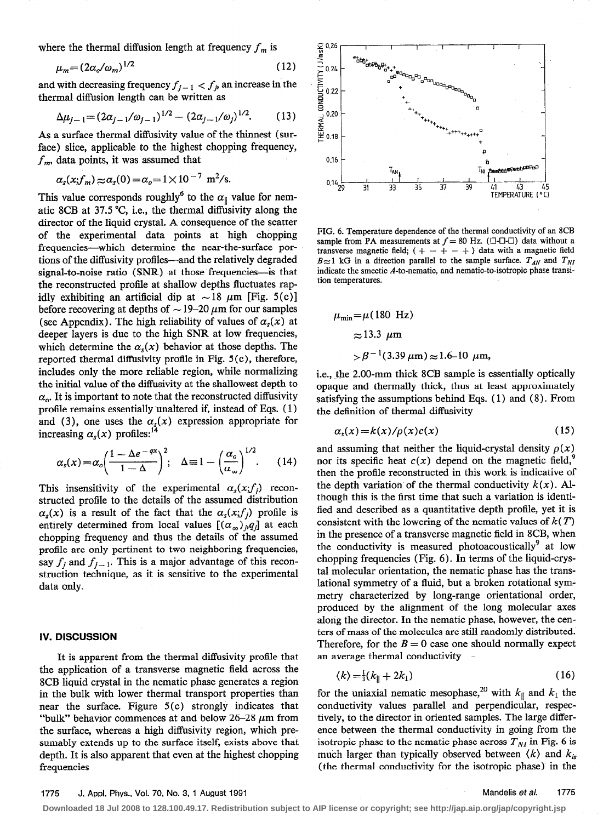where the thermal diffusion length at frequency  $f_m$  is

$$
\mu_m = (2\alpha_o/\omega_m)^{1/2} \tag{12}
$$

and with decreasing frequency  $f_{j-1} < f_j$  an increase in the thermal diffusion length can be written as

$$
\Delta \mu_{j-1} = (2\alpha_{j-1}/\omega_{j-1})^{1/2} - (2\alpha_{j-1}/\omega_j)^{1/2}.
$$
 (13)

As a surface thermal diffusivity value of the thinnest (surface) slice, applicable to the highest chopping frequency,  $f_m$ , data points, it was assumed that

$$
\alpha_s(x; f_m) \approx \alpha_s(0) = \alpha_o = 1 \times 10^{-7} \text{ m}^2/\text{s}.
$$

This value corresponds roughly<sup>6</sup> to the  $\alpha_{\parallel}$  value for nematic 8CB at 37.5 "C, i.e., the thermal diffusivity along the director of the liquid crystal. A consequence of the scatter of the experimental data points at high chopping frequencies-which determine the near-the-surface portions of the diffusivity profiles-and the relatively degraded signal-to-noise ratio (SNR) at those frequencies-is that the reconstructed profile at shallow depths fluctuates rapidly exhibiting an artificial dip at  $\sim 18 \mu m$  [Fig. 5(c)] before recovering at depths of  $\sim$  19–20  $\mu$ m for our samples (see Appendix). The high reliability of values of  $\alpha_s(x)$  at deeper layers is due to the high SNR at low frequencies, which determine the  $\alpha_{s}(x)$  behavior at those depths. The reported thermal diffusivity profile in Fig. 5 (c), therefore, includes only the more reliable region, while normalizing the initial value of the diffusivity at the shallowest depth to  $\alpha_{o}$ . It is important to note that the reconstructed diffusivity profile remains essentially unaltered if, instead of Eqs. ( 1) and (3), one uses the  $\alpha_s(x)$  expression appropriate for increasing  $\alpha_s(x)$  profiles:<sup>1</sup>

$$
\alpha_s(x) = \alpha_o \bigg( \frac{1 - \Delta e^{-qx}}{1 - \Delta} \bigg)^2; \quad \Delta \equiv 1 - \bigg( \frac{\alpha_o}{\alpha_\infty} \bigg)^{1/2}.
$$
 (14)

This insensitivity of the experimental  $\alpha_s(x;f_i)$  reconstructed profile to the details of the assumed distribution  $\alpha_{s}(x)$  is a result of the fact that the  $\alpha_{s}(x;f_{i})$  profile is entirely determined from local values  $[(\alpha_{\infty})_pq]$  at each chopping frequency and thus the details of the assumed profile are only pertinent to two neighboring frequencies, say  $f_j$  and  $f_{j-1}$ . This is a major advantage of this reconstruction technique, as it is sensitive to the experimental data only.

#### IV. DISCUSSION

It is apparent from the thermal diffusivity profile that the application of a transverse magnetic field across the 8CB liquid crystal in the nematic phase generates a region in the bulk with lower thermal transport properties than near the surface. Figure 5(c) strongly indicates that "bulk" behavior commences at and below  $26-28 \mu m$  from the surface, whereas a high diffusivity region, which presumably extends up to the surface itself, exists above that depth. It is also apparent that even at the highest chopping frequencies



FIG. 6. Temperature dependence of the thermal conductivity of an 8CB sample from PA measurements at  $f = 80$  Hz. ( $\Box$ - $\Box$ - $\Box$ ) data without a transverse magnetic field;  $( + - + - + )$  data with a magnetic field  $B \approx 1$  kG in a direction parallel to the sample surface.  $T_{AN}$  and  $T_{NI}$ indicate the smectic A-to-nematic, and nematic-to-isotropic phase transition temperatures.

$$
\mu_{\min} = \mu (180 \text{ Hz})
$$
  
\n
$$
\approx 13.3 \text{ }\mu\text{m}
$$
  
\n
$$
> \beta^{-1} (3.39 \mu\text{m}) \approx 1.6 \text{--} 10 \text{ }\mu\text{m},
$$

i.e., the 2.00-mm thick 8CB sample is essentially optically opaque and thermally thick, thus at least approximately satisfying the assumptions behind Eqs. ( 1) and (8). From the definition of thermal diffusivity

$$
\alpha_s(x) = k(x)/\rho(x)c(x) \tag{15}
$$

and assuming that neither the liquid-crystal density  $\rho(x)$ nor its specific heat  $c(x)$  depend on the magnetic field, then the profile reconstructed in this work is indicative of the depth variation of the thermal conductivity  $k(x)$ . Although this is the first time that such a variation is identified and described as a quantitative depth profile, yet it is consistent with the lowering of the nematic values of  $k(T)$ in the presence of a transverse magnetic field in 8CB, when the conductivity is measured photoacoustically<sup>9</sup> at low chopping frequencies (Fig. 6). In terms of the liquid-crystal molecular orientation, the nematic phase has the translational symmetry of a fluid, but a broken rotational symmetry characterized by long-range orientational order, produced by the alignment of the long molecular axes along the director. In the nematic phase, however, the centers of mass of the molecules are still randomly distributed. Therefore, for the  $B = 0$  case one should normally expect an average thermal conductivity

$$
\langle k \rangle = \frac{1}{3} (k_{\parallel} + 2k_{\perp}) \tag{16}
$$

for the uniaxial nematic mesophase,<sup>20</sup> with  $k_{\parallel}$  and  $k_{\perp}$  the conductivity values parallel and perpendicular, respectively, to the director in oriented samples. The large difference between the thermal conductivity in going from the isotropic phase to the nematic phase across  $T_{NI}$  in Fig. 6 is much larger than typically observed between  $\langle k \rangle$  and  $k_{is}$ (the thermal conductivity for the isotropic phase) in the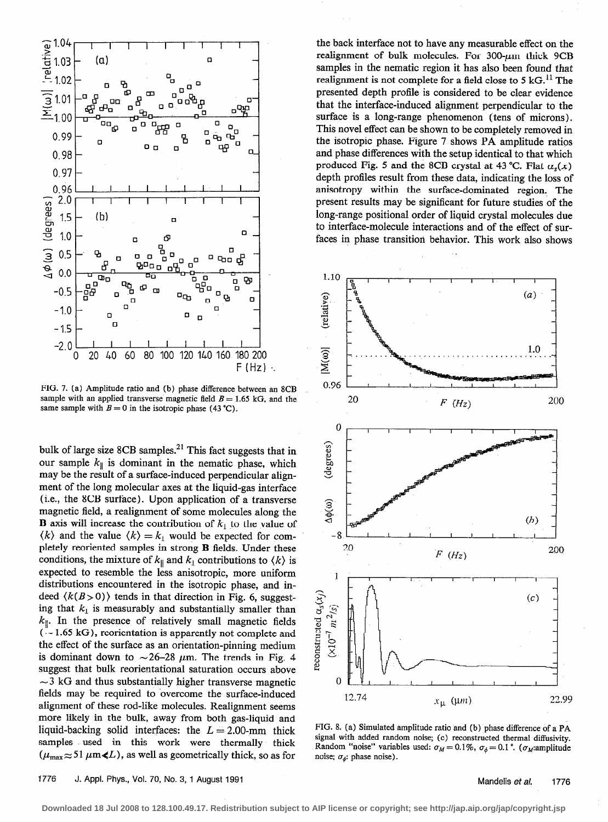

FIG. 7. (a) Amplitude ratio and (b) phase difference between an 8CB sample with an applied transverse magnetic field  $B = 1.65$  kG, and the same sample with  $B = 0$  in the isotropic phase (43 °C).

bulk of large size 8CB samples. $^{21}$  This fact suggests that in our sample  $k_{\parallel}$  is dominant in the nematic phase, which may be the result of a surface-induced perpendicular alignment of the long molecular axes at the liquid-gas interface (i.e., the 8CB surface). Upon application of a transverse magnetic field, a realignment of some molecules along the **B** axis will increase the contribution of  $k_1$  to the value of  $\langle k \rangle$  and the value  $\langle k \rangle = k_1$  would be expected for completely reoriented samples in strong B fields. Under these conditions, the mixture of  $k_{\parallel}$  and  $k_{\perp}$  contributions to  $\langle k \rangle$  is expected to resemble the less anisotropic, more uniform distributions encountered in the isotropic phase, and indeed  $\langle k(B>0) \rangle$  tends in that direction in Fig. 6, suggesting that  $k_1$  is measurably and substantially smaller than  $k_{\parallel}$ . In the presence of relatively small magnetic fields  $(-1.65 \text{ kG})$ , reorientation is apparently not complete and the effect of the surface as an orientation-pinning medium is dominant down to  $\sim$ 26-28  $\mu$ m. The trends in Fig. 4 suggest that bulk reorientational saturation occurs above  $\sim$ 3 kG and thus substantially higher transverse magnetic fields may be required to overcome the surface-induced alignment of these rod-like molecules. Realignment seems more likely in the bulk, away from both gas-liquid and liquid-backing solid interfaces: the  $L = 2.00$ -mm thick samples used in this work were thermally thick  $(\mu_{\text{max}} \approx 51 \,\mu\text{m} \ll L)$ , as well as geometrically thick, so as for

the back interface not to have any measurable effect on the realignment of bulk molecules. For  $300-\mu m$  thick  $9CB$ samples in the nematic region it has also been found that realignment is not complete for a field close to 5  $kG$ .<sup>11</sup> The presented depth profile is considered to be clear evidence that the interface-induced alignment perpendicular to the surface is a long-range phenomenon (tens of microns). This novel effect can be shown to be completely removed in the isotropic phase. Figure 7 shows PA amplitude ratios and phase differences with the setup identical to that which produced Fig. 5 and the 8CB crystal at 43 °C. Flat  $\alpha_s(x)$ depth profiles result from these data, indicating the loss of anisotropy within. the surface-dominated region. The present results may be significant for future studies of the long-range positional order of liquid crystal molecules due to interface-molecule interactions and of the effect of surfaces in phase transition behavior. This work also shows



PIG. 8. (a) Simulated amplitude ratio and (b) phase difference of a PA signal with added random noise; (c) reconstructed thermal diffusivity. Random "noise" variables used:  $\sigma_M = 0.1\%$ ,  $\sigma_{\phi} = 0.1$ ". ( $\sigma_M$ :amplitude noise;  $\sigma_{\phi}$ : phase noise).